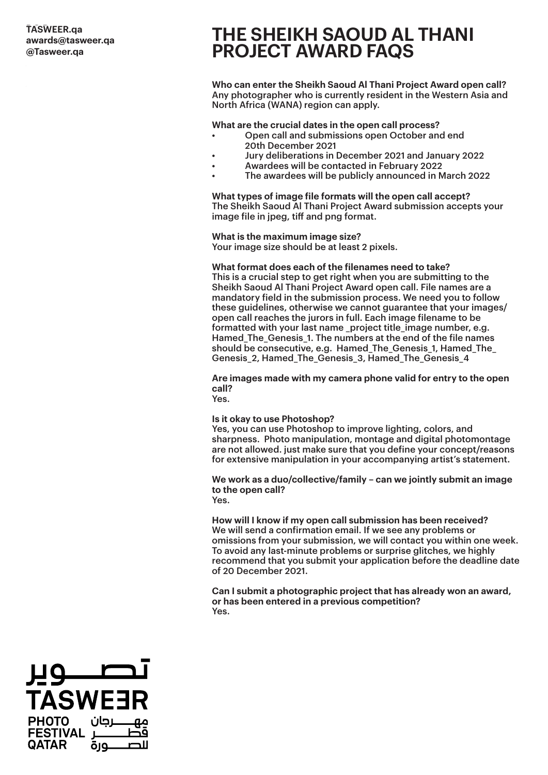# **THE SHEIKH SAOUD AL THANI PROJECT AWARD FAQS**

**Who can enter the Sheikh Saoud Al Thani Project Award open call?** Any photographer who is currently resident in the Western Asia and North Africa (WANA) region can apply.

**What are the crucial dates in the open call process?**

- Open call and submissions open October and end 20th December 2021
- Jury deliberations in December 2021 and January 2022
- Awardees will be contacted in February 2022
- The awardees will be publicly announced in March 2022

**What types of image file formats will the open call accept?** The Sheikh Saoud Al Thani Project Award submission accepts your image file in jpeg, tiff and png format.

**What is the maximum image size?**

Your image size should be at least 2 pixels.

**What format does each of the filenames need to take?** This is a crucial step to get right when you are submitting to the Sheikh Saoud Al Thani Project Award open call. File names are a mandatory field in the submission process. We need you to follow these guidelines, otherwise we cannot guarantee that your images/ open call reaches the jurors in full. Each image filename to be formatted with your last name project title image number, e.g. Hamed The Genesis 1. The numbers at the end of the file names should be consecutive, e.g. Hamed The Genesis 1, Hamed The Genesis 2, Hamed The Genesis 3, Hamed The Genesis 4

**Are images made with my camera phone valid for entry to the open call?** Yes.

**Is it okay to use Photoshop?**

Yes, you can use Photoshop to improve lighting, colors, and sharpness. Photo manipulation, montage and digital photomontage are not allowed. just make sure that you define your concept/reasons for extensive manipulation in your accompanying artist's statement.

**We work as a duo/collective/family – can we jointly submit an image to the open call?** Yes.

**How will I know if my open call submission has been received?** We will send a confirmation email. If we see any problems or omissions from your submission, we will contact you within one week. To avoid any last-minute problems or surprise glitches, we highly recommend that you submit your application before the deadline date of 20 December 2021.

**Can I submit a photographic project that has already won an award, or has been entered in a previous competition?** Yes.

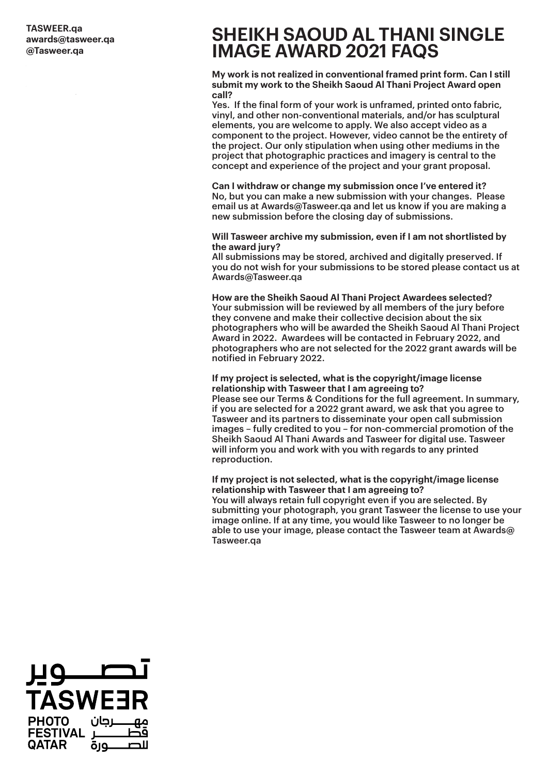## **SHEIKH SAOUD AL THANI SINGLE IMAGE AWARD 2021 FAQS**

**My work is not realized in conventional framed print form. Can I still submit my work to the Sheikh Saoud Al Thani Project Award open call?**

Yes. If the final form of your work is unframed, printed onto fabric, vinyl, and other non-conventional materials, and/or has sculptural elements, you are welcome to apply. We also accept video as a component to the project. However, video cannot be the entirety of the project. Our only stipulation when using other mediums in the project that photographic practices and imagery is central to the concept and experience of the project and your grant proposal.

**Can I withdraw or change my submission once I've entered it?** No, but you can make a new submission with your changes. Please email us at Awards@Tasweer.qa and let us know if you are making a new submission before the closing day of submissions.

#### **Will Tasweer archive my submission, even if I am not shortlisted by the award jury?**

All submissions may be stored, archived and digitally preserved. If you do not wish for your submissions to be stored please contact us at Awards@Tasweer.qa

**How are the Sheikh Saoud Al Thani Project Awardees selected?** Your submission will be reviewed by all members of the jury before they convene and make their collective decision about the six photographers who will be awarded the Sheikh Saoud Al Thani Project Award in 2022. Awardees will be contacted in February 2022, and photographers who are not selected for the 2022 grant awards will be notified in February 2022.

#### **If my project is selected, what is the copyright/image license relationship with Tasweer that I am agreeing to?**

Please see our Terms & Conditions for the full agreement. In summary, if you are selected for a 2022 grant award, we ask that you agree to Tasweer and its partners to disseminate your open call submission images – fully credited to you – for non-commercial promotion of the Sheikh Saoud Al Thani Awards and Tasweer for digital use. Tasweer will inform you and work with you with regards to any printed reproduction.

### **If my project is not selected, what is the copyright/image license relationship with Tasweer that I am agreeing to?**

You will always retain full copyright even if you are selected. By submitting your photograph, you grant Tasweer the license to use your image online. If at any time, you would like Tasweer to no longer be able to use your image, please contact the Tasweer team at Awards@ Tasweer.qa